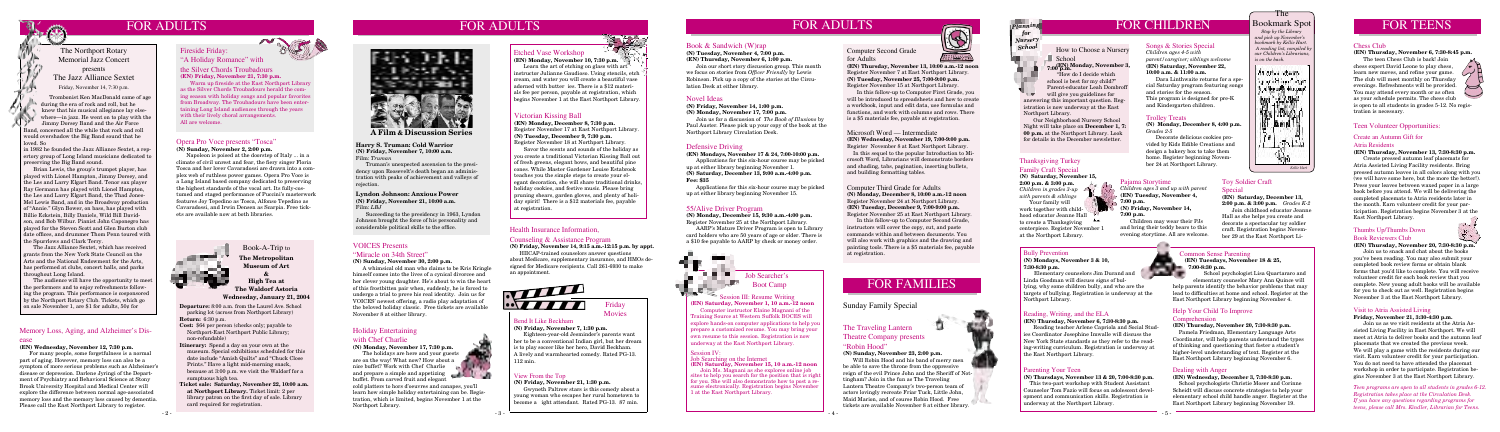

## FOR ADULTS FOR ADULTS

#### Health Insurance Information,

#### Counseling & Assistance Program

**(N) Friday, November 14, 9:15 a.m.-12:15 p.m. by appt.**

HIICAP-trained counselors answer questions about Medicare, supplementary insurance, and HMOs designed for Medicare recipients. Call 261-6930 to make an appointment.



## FOR CHILDREN

## The Bookmark Spot

 *Stop by the Library and pick up November's bookmark by Kellie Hart.* A reading list, compiled *b our Children's Librarians, is on the back.*



#### Pajama Storytime

*Children ages 3 and up with parent* **(EN) Tuesday, November 4,** 

**7:00 p.m. (N) Friday, November 14,** 

**7:00 p.m.** Children may wear their PJs

and bring their teddy bears to this evening storytime. All are welcome.

an a

#### Defensive Driving

**(EN) Mondays, November 17 & 24, 7:00-10:00 p.m.** Applications for this six-hour course may be picked

up at either library beginning November 1. **(N) Saturday, December 13, 9:00 a.m.-4:00 p.m.**

#### **Fee: \$35**

TT.

 Applications for this six-hour course may be picked up at either library beginning November 15.

#### 55/Alive Driver Program

**(N) Monday, December 15, 9:30 a.m.-4:00 p.m.** Register November 25 at the Northport Library.

 AARP's Mature Driver Program is open to Library card holders who are 50 years of age or older. There is a \$10 fee payable to AARP by check or money order.

## Job Searcher's Boot Camp

#### Opera Pro Voce presents "Tosca" **(N) Sunday, November 2, 2:00 p.m.**

 Napoleon is poised at the doorstep of Italy ... in a climate of civil unrest and fear, the fiery singer Floria Tosca and her lover Cavaradossi are drawn into a complex web of ruthless power games. Opera Pro Voce is a Long Island based company dedicated to preserving the highest standards of the vocal art. Its fully-costumed and staged performance of Puccini's masterwork features Joy Tepedino as Tosca, Alfonso Tepedino as Cavaradossi, and Irwin Densen as Scarpia. Free tickets are available now at both libraries.

## FOR FAMILIES

情報

#### Bully Prevention

#### **(N) Mondays, November 3 & 10, 7:30-8:30 p.m.**

 Elementary counselors Jim Durand and Linda Goodman will discuss signs of bullying, why some children bully, and who are the targets of bullying. Registration is underway at the Northport Library.

#### Reading, Writing, and the ELA

**(EN) Thursday, November 6, 7:30-8:30 p.m.**

 Reading teacher Arlene Capriola and Social Studies Coordinator Josephine Imwalle will discuss the New York State standards as they refer to the reading-writing curriculum. Registration is underway at the East Northport Library.

#### Parenting Your Teen

**(N) Thursdays, November 13 & 20, 7:00-8:30 p.m.** This two-part workshop with Student Assistant Counselor Tom Fazio will focus on adolescent development and communication skills. Registration is underway at the Northport Library.

## FOR TEENS

#### Thanksgiving Turkey Family Craft Special

**(N) Saturday, November 15, 2:00 p.m. & 3:00 p.m.**

*Children in grades 3-up with parents & siblings* Your family will

work together with childhood educator Jeanne Hall to create a Thanksgiving centerpiece. Register November 1 at the Northport Library.

Sunday Family Special

# FOR ADULTS

*teens, please call Mrs. Kindler, Librarian for Teens.*



Common Sense Parenting **(EN) Tuesdays, November 18 & 25, 7:00-8:30 p.m.**

School psychologist Lisa Quartararo and

elementary counselor Mary Ann Quince will help parents identify the behavior problems that may lead to difficulties at home and school. Register at the East Northport Library beginning November 4.

#### Help Your Child To Improve

#### **Comprehension**

#### **(EN) Thursday, November 20, 7:30-8:30 p.m.**

 Pamela Friedman, Elementary Language Arts Coordinator, will help parents understand the types of thinking and questioning that foster a student's higher-level understanding of text. Register at the East Northport Library beginning November 6.

#### Dealing with Anger

#### **(EN) Wednesday, December 3, 7:30-8:30 p.m.**

 School psychologists Christie Moser and Corinne Scheidt will discuss concrete strategies to help your elementary school child handle anger. Register at the East Northport Library beginning November 19.



## Special

**(EN) Saturday, December 13, 2:00 p.m. & 3:00 p.m.** *Grades K-2* Join childhood educator Jeanne

Hall as she helps you create and decorate a spectacular toy soldier craft. Registration begins November 29 at the East Northport Li-



#### Songs & Stories Special

*Children ages 4-5 with parent/caregiver; siblings welcome* **(EN) Saturday, November 22, 10:00 a.m. & 11:00 a.m.**

 Dara Linthwaite returns for a special Saturday program featuring songs and stories for the season. This program is designed for pre-K and Kindergarten children.

**Departure:** 8:00 a.m. from the Laurel Ave. School parking lot (across from Northport Library) **Return:** 6:30 p.m.

- **Cost:** \$64 per person (checks only; payable to Northport-East Northport Public Library; non-refundable)
- **Itinerary:** Spend a day on your own at the museum. Special exhibitions scheduled for this date include "Amish Quilts" and "Chuck Close Prints." Have a light mid-morning snack, because at 3:00 p.m. we visit the Waldorf for a sumptuous high tea.
- **Ticket sale: Saturday, November 22, 10:00 a.m. at Northport Library.** Ticket limit: 2 per library patron on the first day of sale. Library card required for registration.



*Teen programs are open to all students in grades 6-12. Registration takes place at the Circulation Desk. If you have any questions regarding programs for*  Join us as we visit residents at the Atria Assisted Living Facility in East Northport. We will meet at Atria to deliver books and the autumn leaf placemats that we created the previous week. We will play a game with the residents during our visit. Earn volunteer credit for your participation. You do not need to have attended the placemat workshop in order to participate. Registration begins November 3 at the East Northport Library.



#### Chess Club

#### **(EN) Thursday, November 6, 7:30-8:45 p.m.**

 The teen Chess Club is back! Join chess expert David Leone to play chess, learn new moves, and refine your game.  $\sim$ The club will meet monthly on Thursday evenings. Refreshments will be provided. You may attend every month or as often as your schedule permits. The chess club is open to all students in grades 5-12. No registration is necessary.

#### Create an Autumn Gift for

#### Atria Residents

**(EN) Thursday, November 13, 7:30-8:30 p.m.**

 Create pressed autumn leaf placemats for Atria Assisted Living Facility residents. Bring pressed autumn leaves in all colors along with you (we will have some here, but the more the better!). Press your leaves between waxed paper in a large book before you attend. We will be delivering the completed placemats to Atria residents later in the month. Earn volunteer credit for your participation. Registration begins November 3 at the East Northport Library.

#### Thumbs Up/Thumbs Down Book Reviewers Club

**(EN) Thursday, November 20, 7:30-8:30 p.m.**

Gwyneth Paltrow stars is this comedy about a young woman who escapes her rural hometown to become a ight attendant. Rated PG-13. 87 min.

 Join us to snack and chat about the books you've been reading. You may also submit your completed book review forms or obtain blank forms that you'd like to complete. You will receive volunteer credit for each book review that you complete. New young adult books will be available for you to check out as well. Registration begins November 3 at the East Northport Library.

#### Visit to Atria Assisted Living

#### **Friday, November 21, 3:30-4:30 p.m.**

#### Computer Second Grade for Adults



**(EN) Thursday, November 13, 10:00 a.m.-12 noon** Register November 7 at East Northport Library. **(N) Tuesday, November 25, 7:00-9:00 p.m.** Register November 15 at Northport Library.

In this follow-up to Computer First Grade, you will be introduced to spreadsheets and how to create a workbook, input and edit data, use formulas and functions, and work with columns and rows. There is a \$5 materials fee, payable at registration.

## Computer Third Grade for Adults

**(N) Monday, December 8, 10:00 a.m.-12 noon** Register November 24 at Northport Library. **(EN) Tuesday, December 9, 7:00-9:00 p.m.** Register November 25 at East Northport Library.

 In this follow-up to Computer Second Grade, instructors will cover the copy, cut, and paste commands within and between documents. You will also work with graphics and the drawing and painting tools. There is a \$5 materials fee, payable at registration.

#### Memory Loss, Aging, and Alzheimer's Disease

#### **(EN) Wednesday, November 12, 7:30 p.m.**

 For many people, some forgetfulness is a normal part of aging. However, memory loss can also be a symptom of more serious problems such as Alzheimer's disease or depression. Darlene Jyringi of the Department of Psychiatry and Behavioral Science at Stony Brook University Hospital and Medical Center will explore the difference between normal age-associated memory loss and the memory loss caused by dementia. Please call the East Northport Library to register.



 Trombonist Ken MacDonald came of age during the era of rock and roll, but he knew that his musical allegiance lay else where—in jazz. He went on to play with the Jimmy Dorsey Band and the Air Force Band, concerned all the while that rock and roll would overshadow the Big Band sound that he loved. So

in 1982 he founded the Jazz Alliance Sextet, a repertory group of Long Island musicians dedicated to preserving the Big Band sound.

#### How to Choose a Nursery School **(EN) Monday, November 3, 7:00 p.m.**

 Brian Lewis, the group's trumpet player, has played with Lionel Hampton, Jimmy Dorsey, and the Les and Larry Elgart Band. Tenor sax player Ray Germann has played with Lionel Hampton, the Les and Larry Elgart Band, the Thad Jones-Mel Lewis Band, and in the Broadway production of "Annie." Glyn Bower, on bass, has played with Billie Eckstein, Billy Daniels, Wild Bill Davidson, and Bob Wilbur. Pianist John Caponegro has played for the Steven Scott and Glen Burton club date offices, and drummer Thom Penn toured with the Spurrlows and Clark Terry.

 The Jazz Alliance Sextet, which has received grants from the New York State Council on the Arts and the National Endowment for the Arts, has performed at clubs, concert halls, and parks throughout Long Island.

 The audience will have the opportunity to meet the performers and to enjoy refreshments following the program. This performance is cosponsored by the Northport Rotary Club. Tickets, which go on sale November 1, are \$1 for adults, 50¢ for

The Northport Rotary Memorial Jazz Concert presents The Jazz Alliance Sextet

Friday, November 14, 7:30 p.m.

#### VOICES Presents

#### "Miracle on 34th Street"

#### **(N) Sunday, November 30, 2:00 p.m.**

 A whimsical old man who claims to be Kris Kringle himself comes into the lives of a cynical divorcee and her clever young daughter. He's about to win the heart of this frostbitten pair when, suddenly, he is forced to undergo a trial to prove his real identity. Join us for VOICES' newest offering, a radio play adaptation of the beloved holiday classic. Free tickets are available November 8 at either library.

#### The Traveling Lantern Theatre Company presents "Robin Hood"

#### **(N) Sunday, November 23, 2:00 p.m.**

 Will Robin Hood and his band of merry men be able to save the throne from the oppressive reign of the evil Prince John and the Sheriff of Nottingham? Join in the fun as The Traveling Lantern Theatre Company's two-person team of actors lovingly recreate Friar Tuck, Little John, Maid Marion, and of course Robin Hood. Free tickets are available November 8 at either library.

#### Holiday Entertaining

#### with Chef Charlie

#### **(N) Monday, November 17, 7:30 p.m.**

 The holidays are here and your guests are on the way! What now? How about a nice buffet? Work with Chef Charlie and prepare a simple and appetizing buffet. From carved fruit and elegant



cold platters to hors d'oeuvres and canapes, you'll learn how simple holiday entertaining can be. Registration, which is limited, begins November 1 at the Northport Library.



#### Victorian Kissing Ball

**(EN) Monday, December 8, 7:30 p.m.**  Register November 17 at East Northport Library. **(N) Tuesday, December 9, 7:30 p.m.** Register November 18 at Northport Library.

Savor the scents and sounds of the holiday as you create a traditional Victorian Kissing Ball out of fresh greens, elegant bows, and beautiful pine cones. While Master Gardener Louise Estabrook teaches you the simple steps to create your elegant decoration, she will share traditional drinks, holiday cookies, and festive music. Please bring pruning shears, garden gloves, and plenty of holiday spirit! There is a \$12 materials fee, payable at registration.

#### Novel Ideas

**(N) Friday, November 14, 1:00 p.m. (N) Monday, November 17, 7:00 p.m.**

 Join us for a discussion of *The Book of Illusions* by Paul Auster*.* Please pick up your copy of the book at the Northport Library Circulation Desk.

#### Book & Sandwich (W)rap

#### **(N) Tuesday, November 4, 7:00 p.m. (EN) Thursday, November 6, 1:00 p.m.**

Join our short story discussion group. This month we focus on stories from *Officer Friendly* by Lewis Robinson. Pick up a copy of the stories at the Circulation Desk at either library.

**A Film & Discussion Series**

**Harry S. Truman: Cold Warrior (N) Friday, November 7, 10:00 a.m.** Film: *Truman*

 Truman's unexpected ascension to the presidency upon Roosevelt's death began an administration with peaks of achievement and valleys of rejection.

**Lyndon Johnson: Anxious Power (N) Friday, November 21, 10:00 a.m.** Film: *LBJ*

 Succeeding to the presidency in 1963, Lyndon Johnson brought the force of his personality and considerable political skills to the office.

#### View From the Top

#### **(N) Friday, November 21, 1:30 p.m.**

Friday Movies

#### Bend It Like Beckham

**(N) Friday, November 7, 1:30 p.m.**

Eighteen-year-old Jesminder's parents want her to be a conventional Indian girl, but her dream is to play soccer like her hero, David Beckham. A lively and warmhearted comedy. Rated PG-13. 112 min.

*Planning for Nursery School*

> "How do I decide which school is best for my child?" Parent-educator Leah Dombrof will give you guidelines for

answering this important question. Registration is now underway at the East Northport Library.

 Our Neighborhood Nursery School Night will take place on **December 1, 7: 00 p.m.** at the Northport Library. Look for details in the December newsletter.

 Session III: Resume Writing **(EN) Saturday, November 1, 10 a.m.-12 noon**

**LIN** 

Computer instructor Elaine Magnani of the Training Source at Western Suffolk BOCES will explore hands-on computer applications to help you prepare a customized resume. You may bring your own resume to this session. Registration is now underway at the East Northport Library.

#### Session IV:

Job Searching on the Internet **(EN) Saturday, November 15, 10 a.m.-12 noon**

Join Ms. Magnani as she explores online job sites to help you search for the position that is right for you. She will also demonstrate how to post a resume electronically. Registration begins November 1 at the East Northport Library.

#### Trolley Treats

**(N) Monday, December 8, 4:00 p.m.** *Grades 2-5*

 Decorate delicious cookies provided by Kids Edible Creations and design a bakery box to take them home. Register beginning November 24 at Northport Library.

Fireside Friday:

"A Holiday Romance" with the Silver Chords Troubadours **(EN) Friday, November 21, 7:30 p.m.**

 Warm up fireside at the East Northport Library as the Silver Chords Troubadours herald the coming season with holiday songs and popular favorites from Broadway. The Troubadours have been entertaining Long Island audiences through the years with their lively choral arrangements. All are welcome.

#### Microsoft Word — Intermediate **(EN) Wednesday, November 19, 7:00-9:00 p.m.** Register November 8 at East Northport Library.

In this sequel to the popular Introduction to Microsoft Word, Librarians will demonstrate borders and shading, tabs, pagination, inserting bullets, and building formatting tables.

#### Etched Vase Workshop

**(EN) Monday, November 10, 7:30 p.m.** Learn the art of etching on glass with art instructor Julianne Gaudioso. Using stencils, etch cream, and water you will create a beautiful vase adorned with butter ies. There is a  $$12$  materials fee per person, payable at registration, which begins November 1 at the East Northport Library.

#### Teen Volunteer Opportunities: